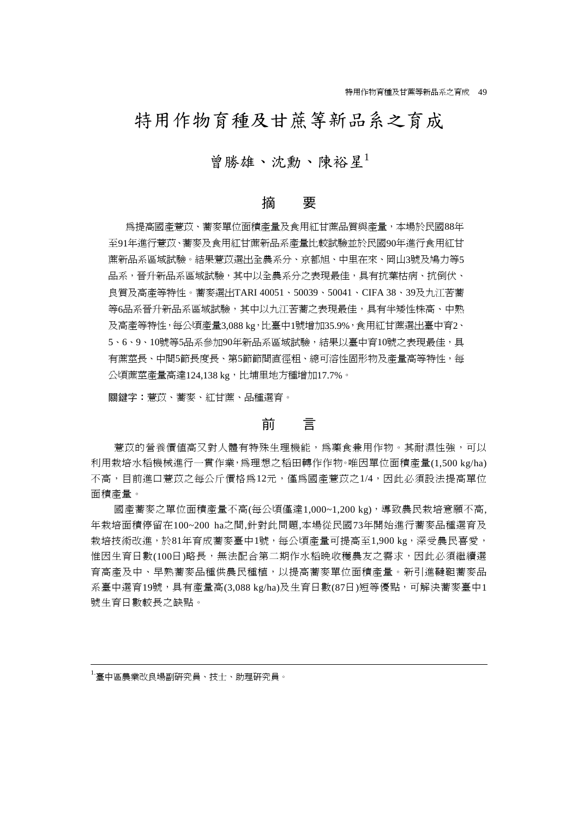# 特用作物育種及甘蔗等新品系之育成

# 曾勝雄、沈勳、陳裕星<sup>1</sup>

## 摘 要

為提高國產薏苡、蕎麥單位面積產量及食用紅甘蔗品質與產量,本場於民國88年 至91年進行薏苡、蕎麥及食用紅甘蔗新品系產量比較試驗並於民國90年進行食用紅甘 蔗新品系區域試驗。結果薏苡選出全農系分、京都旭、中里在來、岡山3號及鳩力等5 品系,晉升新品系區域試驗,其中以全農系分之表現最佳,具有抗葉枯病、抗倒伏、 良質及高產等特性。蕎麥選出TARI 40051、50039、50041、CIFA 38、39及九江苦蕎 等6品系晉升新品系區域試驗,其中以九江苦蕎之表現最佳,具有半矮性株高、中熟 及高產等特性,每公頃產量3,088 kg,比臺中1號增加35.9%,食用紅甘蔗選出臺中育2、 5、6、9、10號等5品系參加90年新品系區域試驗,結果以臺中育10號之表現最佳,具 有蔗莖長、中間5節長度長、第5節節間直徑粗、總可溶性固形物及產量高等特性,每 公頃蔗莖產量高達124,138 kg,比埔里地方種增加17.7%。

關鍵字:薏苡、蕎麥、紅甘蔗、品種選育。

# 前 言

薏苡的營養價值高又對人體有特殊生理機能,為藥食兼用作物。其耐濕性強,可以 利用栽培水稻機械進行一貫作業,為理想之稻田轉作作物。唯因單位面積產量(1,500 kg/ha) 不高,目前進口薏苡之每公斤價格爲12元,僅爲國產薏苡之1/4,因此必須設法提高單位 面積產量。

國產蕎麥之單位面積產量不高(每公頃僅達1,000~1,200 kg),導致農民栽培意願不高, 年栽培面積停留在100~200 ha之間,針對此問題,本場從民國73年開始進行蕎麥品種選育及 栽培技術改進,於81年育成蕎麥臺中1號,每公頃產量可提高至1,900 kg,深受農民喜愛, 惟因生育日數(100日)略長,無法配合第二期作水稻晩收穫農友之需求,因此必須繼續選 育高產及中、早熟蕎麥品種供農民種植,以提高蕎麥單位面積產量。新引進韃靼蕎麥品 系臺中選育19號, 具有產量高(3,088 kg/ha)及生育日數(87日)短等優點, 可解決蕎麥臺中1 號生育日數較長之缺點。

1.臺中區農業改良場副研究員、技士、助理研究員。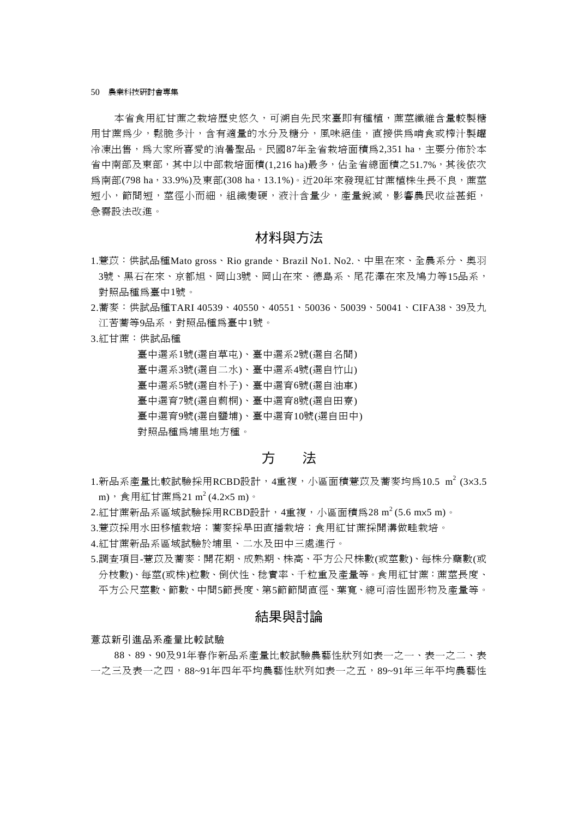本省食用紅甘蔗之栽培歷史悠久,可溯自先民來臺即有種植,蔗莖纖維含量較製糖 用甘蔗為少,鬆脆多汁,含有適量的水分及糖分,風味絕佳,直接供為啃食或榨汁製罐 冷凍出售,為大家所喜愛的消暑聖品。民國87年全省栽培面積為2,351 ha,主要分佈於本 省中南部及東部,其中以中部栽培面積(1,216 ha)最多,佔全省總面積之51.7%,其後依次 為南部(798 ha,33.9%)及東部(308 ha,13.1%)。近20年來發現紅甘蔗植株生長不良,蔗莖 短小, 節間短, 莖徑小而細, 組織變硬, 液汁含量少, 產量銳減, 影響農民收益甚鉅, 急需設法改進。

## 材料與方法

- 1.薏苡:供試品種Mato gross、Rio grande、Brazil No1. No2.、中里在來、全農系分、奧羽 3號、黑石在來、京都旭、岡山3號、岡山在來、德島系、尾花澤在來及鳩力等15品系, 對照品種為臺中1號。
- 2.蕎麥:供試品種TARI 40539、40550、40551、50036、50039、50041、CIFA38、39及九 江苦蕎等9品系,對照品種為臺中1號。
- 3.紅甘蔗:供試品種

臺中選系1號(選自草屯)、臺中選系2號(選自名間) 臺中選系3號(選自二水)、臺中選系4號(選自竹山) 臺中選系5號(選自朴子)、臺中選育6號(選自油車) 臺中選育7號(選自莿桐)、臺中選育8號(選自田寮) 臺中選育9號(選自鹽埔)、臺中選育10號(選自田中) 對照品種為埔里地方種。

## 方 法

- 1.新品系產量比較試驗採用RCBD設計,4重複,小區面積薏苡及蕎麥均爲10.5 m<sup>2</sup> (3×3.5 m), 食用紅甘蔗為21 m<sup>2</sup> (4.2×5 m)。
- 2.紅甘蔗新品系區域試驗採用RCBD設計,4重複,小區面積為28m2(5.6 m×5 m)。
- 3.薏苡採用水田移植栽培;蕎麥採旱田直播栽培;食用紅甘蔗採開溝做畦栽培。
- 4.紅甘蔗新品系區域試驗於埔里、二水及田中三處進行。
- 5.調查項目-薏苡及蕎麥:開花期、成熟期、株高、平方公尺株數(或莖數)、每株分蘗數(或 分枝數)、每莖(或株)粒數、倒伏性、稔實率、千粒重及產量等。食用紅甘蔗:蔗莖長度、 平方公尺莖數、節數、中間5節長度、第5節節間直徑、葉寬、總可溶性固形物及產量等。

# 結果與討論

#### 薏苡新引進品系產量比較試驗

88、89、90及91年春作新品系產量比較試驗農藝性狀列如表一之一、表一之二、表 一之三及表一之四,88~91年四年平均農藝性狀列如表一之五,89~91年三年平均農藝性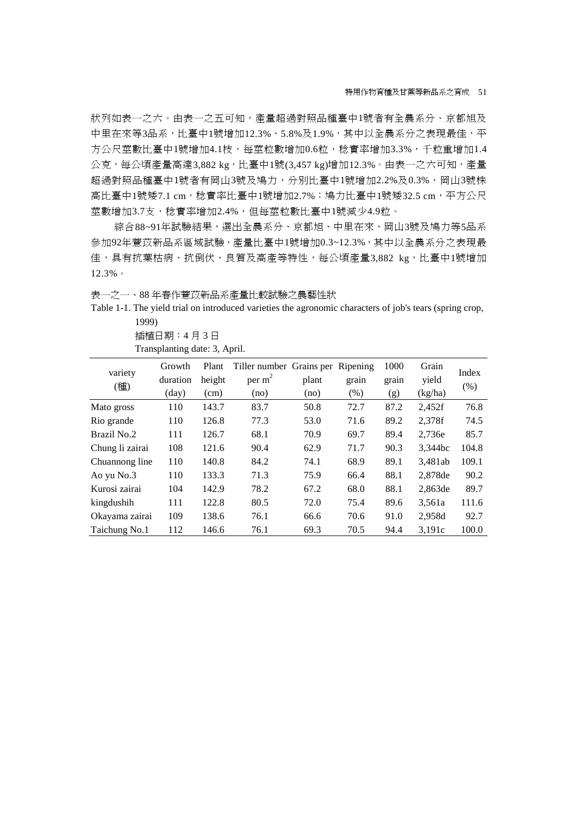狀列如表一之六。由表一之五可知,產量超過對照品種臺中1號者有全農系分、京都旭及 中里在來等3品系,比臺中1號增加12.3%、5.8%及1.9%,其中以全農系分之表現最佳,平 方公尺莖數比臺中1號增加4.1枝,每莖粒數增加0.6粒,稔實率增加3.3%,千粒重增加1.4  $\Delta$ 克,每公頃產量高達3,882 kg,比臺中1號(3,457 kg)增加12.3%。由表一之六可知,產量 超過對照品種臺中1號者有岡山3號及鳩力,分別比臺中1號增加2.2%及0.3%,岡山3號株 高比臺中1號矮7.1 cm,稔實率比臺中1號增加2.7%;鳩力比臺中1號矮32.5 cm,平方公尺 莖數增加3.7支,稔實率增加2.4%,但每莖粒數比臺中1號減少4.9粒。

綜合88~91年試驗結果,選出全農系分、京都旭、中里在來、岡山3號及鳩力等5品系 參加92年薏苡新品系區域試驗,產量比臺中1號增加0.3~12.3%,其中以全農系分之表現最 佳,具有抗葉枯病、抗倒伏、良質及高產等特性,每公頃產量3,882 kg,比臺中1號增加 12.3%。

表一之一、88 年春作薏苡新品系產量比較試驗之農藝性狀

Table 1-1. The yield trial on introduced varieties the agronomic characters of job's tears (spring crop, 1999)

> 插植日期:4 月 3 日 Transplanting date: 3, April.

| variety         | Growth   | Plant  | Tiller number Grains per Ripening |       |       | 1000  | Grain   | Index |
|-----------------|----------|--------|-----------------------------------|-------|-------|-------|---------|-------|
| (種)             | duration | height | per $m2$                          | plant | grain | grain | yield   | (% )  |
|                 | (day)    | (cm)   | (no)                              | (no)  | (% )  | (g)   | (kg/ha) |       |
| Mato gross      | 110      | 143.7  | 83.7                              | 50.8  | 72.7  | 87.2  | 2,452f  | 76.8  |
| Rio grande      | 110      | 126.8  | 77.3                              | 53.0  | 71.6  | 89.2  | 2.378f  | 74.5  |
| Brazil No.2     | 111      | 126.7  | 68.1                              | 70.9  | 69.7  | 89.4  | 2.736e  | 85.7  |
| Chung li zairai | 108      | 121.6  | 90.4                              | 62.9  | 71.7  | 90.3  | 3,344bc | 104.8 |
| Chuannong line  | 110      | 140.8  | 84.2                              | 74.1  | 68.9  | 89.1  | 3,481ab | 109.1 |
| Ao yu No.3      | 110      | 133.3  | 71.3                              | 75.9  | 66.4  | 88.1  | 2.878de | 90.2  |
| Kurosi zairai   | 104      | 142.9  | 78.2                              | 67.2  | 68.0  | 88.1  | 2,863de | 89.7  |
| kingdushih      | 111      | 122.8  | 80.5                              | 72.0  | 75.4  | 89.6  | 3,561a  | 111.6 |
| Okayama zairai  | 109      | 138.6  | 76.1                              | 66.6  | 70.6  | 91.0  | 2,958d  | 92.7  |
| Taichung No.1   | 112      | 146.6  | 76.1                              | 69.3  | 70.5  | 94.4  | 3,191c  | 100.0 |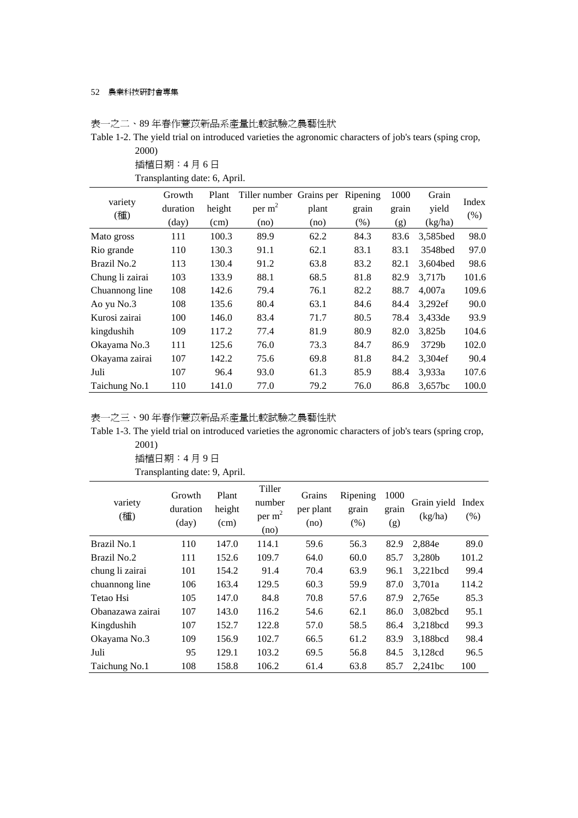## 表一之二、89 年春作薏苡新品系產量比較試驗之農藝性狀

Table 1-2. The yield trial on introduced varieties the agronomic characters of job's tears (sping crop, 2000)

| ZUUU) |  |
|-------|--|
|-------|--|

插植日期:4 月 6 日

Transplanting date: 6, April.

| variety         | Growth         | Plant  | Tiller number Grains per |       | Ripening | 1000  | Grain    | Index |
|-----------------|----------------|--------|--------------------------|-------|----------|-------|----------|-------|
| (種)             | duration       | height | per $m2$                 | plant | grain    | grain | yield    | (% )  |
|                 | $\text{(day)}$ | (cm)   | (no)                     | (no)  | (% )     | (g)   | (kg/ha)  |       |
| Mato gross      | 111            | 100.3  | 89.9                     | 62.2  | 84.3     | 83.6  | 3,585bed | 98.0  |
| Rio grande      | 110            | 130.3  | 91.1                     | 62.1  | 83.1     | 83.1  | 3548bed  | 97.0  |
| Brazil No.2     | 113            | 130.4  | 91.2                     | 63.8  | 83.2     | 82.1  | 3,604bed | 98.6  |
| Chung li zairai | 103            | 133.9  | 88.1                     | 68.5  | 81.8     | 82.9  | 3,717b   | 101.6 |
| Chuannong line  | 108            | 142.6  | 79.4                     | 76.1  | 82.2     | 88.7  | 4,007a   | 109.6 |
| Ao yu No.3      | 108            | 135.6  | 80.4                     | 63.1  | 84.6     | 84.4  | 3,292ef  | 90.0  |
| Kurosi zairai   | 100            | 146.0  | 83.4                     | 71.7  | 80.5     | 78.4  | 3,433de  | 93.9  |
| kingdushih      | 109            | 117.2  | 77.4                     | 81.9  | 80.9     | 82.0  | 3,825b   | 104.6 |
| Okayama No.3    | 111            | 125.6  | 76.0                     | 73.3  | 84.7     | 86.9  | 3729b    | 102.0 |
| Okayama zairai  | 107            | 142.2  | 75.6                     | 69.8  | 81.8     | 84.2  | 3,304ef  | 90.4  |
| Juli            | 107            | 96.4   | 93.0                     | 61.3  | 85.9     | 88.4  | 3,933a   | 107.6 |
| Taichung No.1   | 110            | 141.0  | 77.0                     | 79.2  | 76.0     | 86.8  | 3,657bc  | 100.0 |

表一之三、90 年春作薏苡新品系產量比較試驗之農藝性狀

Table 1-3. The yield trial on introduced varieties the agronomic characters of job's tears (spring crop, 2001)

| ZUU I J          |                                      |                         |                                      |                             |                           |                      |                        |               |
|------------------|--------------------------------------|-------------------------|--------------------------------------|-----------------------------|---------------------------|----------------------|------------------------|---------------|
|                  | 插植日期:4月9日                            |                         |                                      |                             |                           |                      |                        |               |
|                  | Transplanting date: 9, April.        |                         |                                      |                             |                           |                      |                        |               |
| variety<br>(種)   | Growth<br>duration<br>$\text{(day)}$ | Plant<br>height<br>(cm) | Tiller<br>number<br>per $m2$<br>(no) | Grains<br>per plant<br>(no) | Ripening<br>grain<br>(% ) | 1000<br>grain<br>(g) | Grain yield<br>(kg/ha) | Index<br>(% ) |
| Brazil No.1      | 110                                  | 147.0                   | 114.1                                | 59.6                        | 56.3                      | 82.9                 | 2,884e                 | 89.0          |
| Brazil No.2      | 111                                  | 152.6                   | 109.7                                | 64.0                        | 60.0                      | 85.7                 | 3,280b                 | 101.2         |
| chung li zairai  | 101                                  | 154.2                   | 91.4                                 | 70.4                        | 63.9                      | 96.1                 | 3,221bcd               | 99.4          |
| chuannong line   | 106                                  | 163.4                   | 129.5                                | 60.3                        | 59.9                      | 87.0                 | 3.701a                 | 114.2         |
| Tetao Hsi        | 105                                  | 147.0                   | 84.8                                 | 70.8                        | 57.6                      | 87.9                 | 2,765e                 | 85.3          |
| Obanazawa zairai | 107                                  | 143.0                   | 116.2                                | 54.6                        | 62.1                      | 86.0                 | 3,082bcd               | 95.1          |
| Kingdushih       | 107                                  | 152.7                   | 122.8                                | 57.0                        | 58.5                      | 86.4                 | 3,218bcd               | 99.3          |
| Okayama No.3     | 109                                  | 156.9                   | 102.7                                | 66.5                        | 61.2                      | 83.9                 | 3,188bcd               | 98.4          |
| Juli             | 95                                   | 129.1                   | 103.2                                | 69.5                        | 56.8                      | 84.5                 | 3,128cd                | 96.5          |
| Taichung No.1    | 108                                  | 158.8                   | 106.2                                | 61.4                        | 63.8                      | 85.7                 | 2,241bc                | 100           |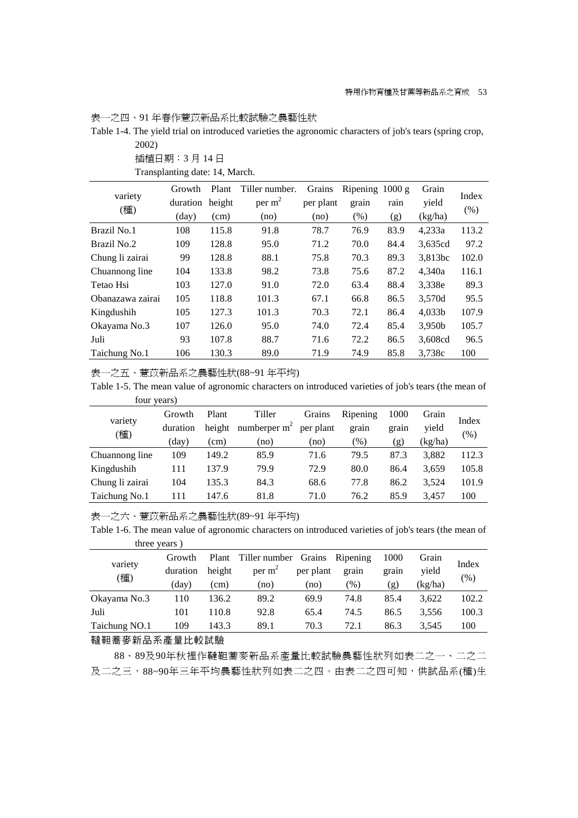表一之四、91 年春作薏苡新品系比較試驗之農藝性狀

Table 1-4. The yield trial on introduced varieties the agronomic characters of job's tears (spring crop, 2002)

|                  | Growth          | Plant  | Tiller number. | Grains    | Ripening | 1000 g | Grain   | Index   |
|------------------|-----------------|--------|----------------|-----------|----------|--------|---------|---------|
| variety<br>(種)   | duration        | height | per $m2$       | per plant | grain    | rain   | yield   | $(\% )$ |
|                  | $\frac{day}{ }$ | (cm)   | (no)           | (no)      | (%)      | (g)    | (kg/ha) |         |
| Brazil No.1      | 108             | 115.8  | 91.8           | 78.7      | 76.9     | 83.9   | 4,233a  | 113.2   |
| Brazil No.2      | 109             | 128.8  | 95.0           | 71.2      | 70.0     | 84.4   | 3,635cd | 97.2    |
| Chung li zairai  | 99              | 128.8  | 88.1           | 75.8      | 70.3     | 89.3   | 3,813bc | 102.0   |
| Chuannong line   | 104             | 133.8  | 98.2           | 73.8      | 75.6     | 87.2   | 4.340a  | 116.1   |
| Tetao Hsi        | 103             | 127.0  | 91.0           | 72.0      | 63.4     | 88.4   | 3,338e  | 89.3    |
| Obanazawa zairai | 105             | 118.8  | 101.3          | 67.1      | 66.8     | 86.5   | 3,570d  | 95.5    |
| Kingdushih       | 105             | 127.3  | 101.3          | 70.3      | 72.1     | 86.4   | 4,033b  | 107.9   |
| Okayama No.3     | 107             | 126.0  | 95.0           | 74.0      | 72.4     | 85.4   | 3,950b  | 105.7   |
| Juli             | 93              | 107.8  | 88.7           | 71.6      | 72.2     | 86.5   | 3,608cd | 96.5    |
| Taichung No.1    | 106             | 130.3  | 89.0           | 71.9      | 74.9     | 85.8   | 3,738c  | 100     |

插植日期:3 月 14 日

Transplanting date: 14, March.

表一之五、薏苡新品系之農藝性狀(88~91 年平均)

Table 1-5. The mean value of agronomic characters on introduced varieties of job's tears (the mean of four years)

| variety<br>(種)  | Growth   | Plant  | Tiller         | Grains    | Ripening | 1000  | Grain   |        |
|-----------------|----------|--------|----------------|-----------|----------|-------|---------|--------|
|                 | duration | height | numberper $m2$ | per plant | grain    | grain | vield   | Index  |
|                 | (day)    | (cm)   | (no            | (no       | (%)      | (g)   | (kg/ha) | $(\%)$ |
| Chuannong line  | 109      | 149.2  | 85.9           | 71.6      | 79.5     | 87.3  | 3.882   | 112.3  |
| Kingdushih      | 111      | 137.9  | 79.9           | 72.9      | 80.0     | 86.4  | 3.659   | 105.8  |
| Chung li zairai | 104      | 135.3  | 84.3           | 68.6      | 77.8     | 86.2  | 3.524   | 101.9  |
| Taichung No.1   | 111      | 147.6  | 81.8           | 71.0      | 76.2     | 85.9  | 3.457   | 100    |

表一之六、薏苡新品系之農藝性狀(89~91 年平均)

Table 1-6. The mean value of agronomic characters on introduced varieties of job's tears (the mean of three years )

| variety<br>(種) | Growth<br>duration | Plant<br>height | Tiller number Grains<br>per m <sup>-</sup> | per plant | Ripening<br>grain | 1000<br>grain | Grain<br>vield | Index<br>(% ) |
|----------------|--------------------|-----------------|--------------------------------------------|-----------|-------------------|---------------|----------------|---------------|
|                | (day)              | (cm)            | (no)                                       | (no)      | $\mathcal{O}_0$   | ՛Զ)           | (kg/ha)        |               |
| Okayama No.3   | 110                | 136.2           | 89.2                                       | 69.9      | 74.8              | 85.4          | 3.622          | 102.2         |
| Juli           | 101                | 110.8           | 92.8                                       | 65.4      | 74.5              | 86.5          | 3.556          | 100.3         |
| Taichung NO.1  | 109                | 143.3           | 89.1                                       | 70.3      | 72.1              | 86.3          | 3.545          | 100           |

### 韃靼蕎麥新品系產量比較試驗

88、89及90年秋裡作韃靼蕎麥新品系產量比較試驗農藝性狀列如表二之一、二之二 及二之三,88~90年三年平均農藝性狀列如表二之四。由表二之四可知,供試品系(種)生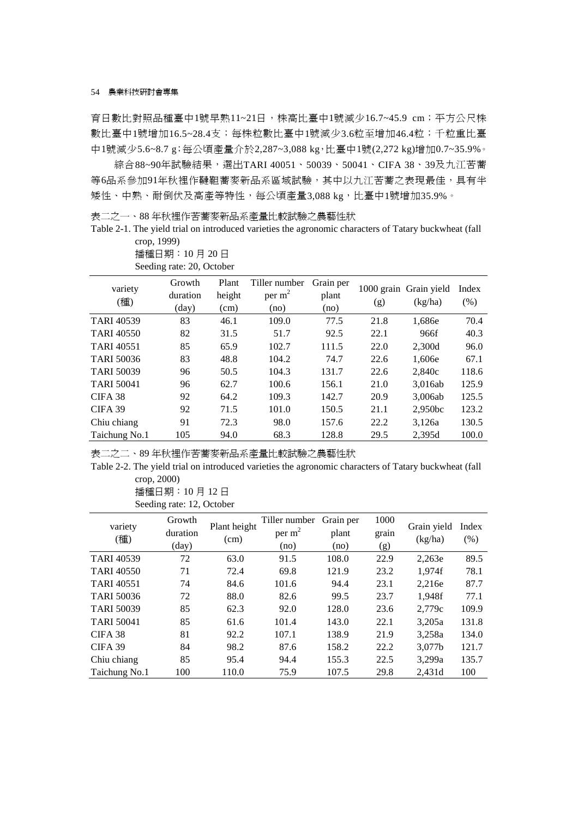育日數比對照品種臺中1號早熟11~21日,株高比臺中1號減少16.7~45.9 cm;平方公尺株 數比臺中1號增加16.5~28.4支;每株粒數比臺中1號減少3.6粒至增加46.4粒;千粒重比臺 中1號減少5.6~8.7 g;每公頃產量介於2,287~3,088 kg,比臺中1號(2,272 kg)增加0.7~35.9%。

綜合88~90年試驗結果,選出TARI 40051、50039、50041、CIFA 38、39及九江苦蕎 等6品系參加91年秋裡作韃靼蕎麥新品系區域試驗,其中以九江苦蕎之表現最佳,具有半 矮性、中熟、耐倒伏及高產等特性,每公頃產量3,088 kg,比臺中1號增加35.9%。

表二之一、88 年秋裡作苦蕎麥新品系產量比較試驗之農藝性狀

Table 2-1. The yield trial on introduced varieties the agronomic characters of Tatary buckwheat (fall crop, 1999)

| variety           | Growth         | Plant  | Tiller number | Grain per |      | 1000 grain Grain yield | Index   |
|-------------------|----------------|--------|---------------|-----------|------|------------------------|---------|
| (種)               | duration       | height | per $m2$      | plant     | (g)  | (kg/ha)                | $(\% )$ |
|                   | $\text{(day)}$ | (cm)   | (no)          | (no)      |      |                        |         |
| <b>TARI 40539</b> | 83             | 46.1   | 109.0         | 77.5      | 21.8 | 1,686e                 | 70.4    |
| <b>TARI 40550</b> | 82             | 31.5   | 51.7          | 92.5      | 22.1 | 966f                   | 40.3    |
| <b>TARI 40551</b> | 85             | 65.9   | 102.7         | 111.5     | 22.0 | 2,300d                 | 96.0    |
| <b>TARI 50036</b> | 83             | 48.8   | 104.2         | 74.7      | 22.6 | 1,606e                 | 67.1    |
| <b>TARI 50039</b> | 96             | 50.5   | 104.3         | 131.7     | 22.6 | 2.840c                 | 118.6   |
| <b>TARI 50041</b> | 96             | 62.7   | 100.6         | 156.1     | 21.0 | 3,016ab                | 125.9   |
| CIFA 38           | 92             | 64.2   | 109.3         | 142.7     | 20.9 | 3,006ab                | 125.5   |
| CIFA 39           | 92             | 71.5   | 101.0         | 150.5     | 21.1 | 2,950bc                | 123.2   |
| Chiu chiang       | 91             | 72.3   | 98.0          | 157.6     | 22.2 | 3,126a                 | 130.5   |
| Taichung No.1     | 105            | 94.0   | 68.3          | 128.8     | 29.5 | 2,395d                 | 100.0   |

播種日期:10 月 20 日 Seeding rate: 20, October

表二之二、89 年秋裡作苦蕎麥新品系產量比較試驗之農藝性狀

Table 2-2. The yield trial on introduced varieties the agronomic characters of Tatary buckwheat (fall crop, 2000)

> 播種日期:10 月 12 日 Seeding rate: 12, October

| variety<br>(種)     | Growth<br>duration<br>(day) | Plant height<br>(cm) | Tiller number<br>per $m2$<br>(no) | Grain per<br>plant<br>(no) | 1000<br>grain<br>(g) | Grain yield<br>(kg/ha) | Index<br>(% ) |
|--------------------|-----------------------------|----------------------|-----------------------------------|----------------------------|----------------------|------------------------|---------------|
| <b>TARI 40539</b>  | 72                          | 63.0                 | 91.5                              | 108.0                      | 22.9                 | 2,263e                 | 89.5          |
| <b>TARI 40550</b>  | 71                          | 72.4                 | 69.8                              | 121.9                      | 23.2                 | 1.974f                 | 78.1          |
| <b>TARI 40551</b>  | 74                          | 84.6                 | 101.6                             | 94.4                       | 23.1                 | 2.216e                 | 87.7          |
| <b>TARI 50036</b>  | 72                          | 88.0                 | 82.6                              | 99.5                       | 23.7                 | 1.948f                 | 77.1          |
| <b>TARI 50039</b>  | 85                          | 62.3                 | 92.0                              | 128.0                      | 23.6                 | 2,779c                 | 109.9         |
| <b>TARI 50041</b>  | 85                          | 61.6                 | 101.4                             | 143.0                      | 22.1                 | 3,205a                 | 131.8         |
| CIFA <sub>38</sub> | 81                          | 92.2                 | 107.1                             | 138.9                      | 21.9                 | 3,258a                 | 134.0         |
| CIFA 39            | 84                          | 98.2                 | 87.6                              | 158.2                      | 22.2                 | 3,077b                 | 121.7         |
| Chiu chiang        | 85                          | 95.4                 | 94.4                              | 155.3                      | 22.5                 | 3,299a                 | 135.7         |
| Taichung No.1      | 100                         | 110.0                | 75.9                              | 107.5                      | 29.8                 | 2.431d                 | 100           |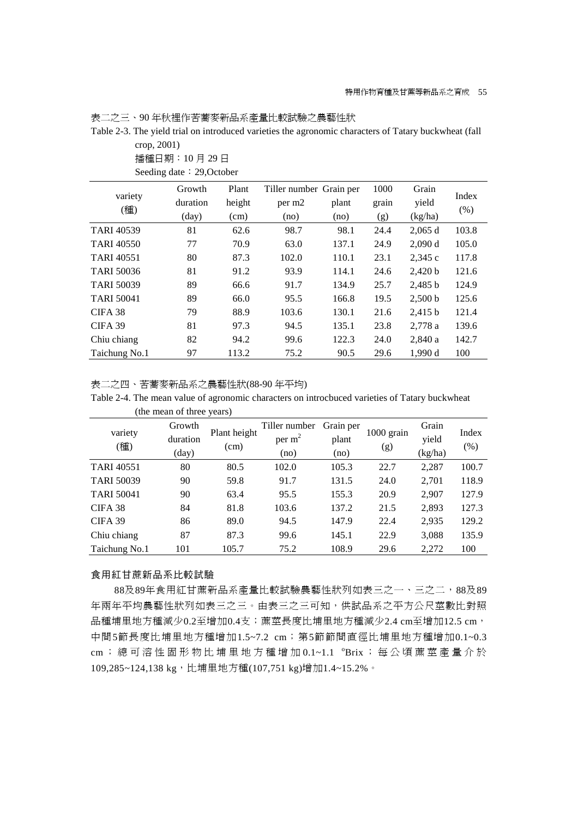表二之三、90 年秋裡作苦蕎麥新品系產量比較試驗之農藝性狀

Table 2-3. The yield trial on introduced varieties the agronomic characters of Tatary buckwheat (fall crop, 2001)

播種日期:10 月 29 日

Seeding date: 29, October

|                    | Growth   | Plant  | Tiller number Grain per |       | 1000  | Grain   | Index |
|--------------------|----------|--------|-------------------------|-------|-------|---------|-------|
| variety<br>(種)     | duration | height | per m <sub>2</sub>      | plant | grain | yield   |       |
|                    | (day)    | (cm)   | (no)                    | (no)  | (g)   | (kg/ha) | (% )  |
| <b>TARI 40539</b>  | 81       | 62.6   | 98.7                    | 98.1  | 24.4  | 2,065d  | 103.8 |
| <b>TARI 40550</b>  | 77       | 70.9   | 63.0                    | 137.1 | 24.9  | 2,090 d | 105.0 |
| <b>TARI 40551</b>  | 80       | 87.3   | 102.0                   | 110.1 | 23.1  | 2,345 c | 117.8 |
| <b>TARI 50036</b>  | 81       | 91.2   | 93.9                    | 114.1 | 24.6  | 2,420 b | 121.6 |
| <b>TARI 50039</b>  | 89       | 66.6   | 91.7                    | 134.9 | 25.7  | 2,485 b | 124.9 |
| <b>TARI 50041</b>  | 89       | 66.0   | 95.5                    | 166.8 | 19.5  | 2,500 b | 125.6 |
| CIFA <sub>38</sub> | 79       | 88.9   | 103.6                   | 130.1 | 21.6  | 2,415 b | 121.4 |
| CIFA 39            | 81       | 97.3   | 94.5                    | 135.1 | 23.8  | 2,778 a | 139.6 |
| Chiu chiang        | 82       | 94.2   | 99.6                    | 122.3 | 24.0  | 2,840 a | 142.7 |
| Taichung No.1      | 97       | 113.2  | 75.2                    | 90.5  | 29.6  | 1.990 d | 100   |

表二之四、苦蕎麥新品系之農藝性狀(88-90 年平均)

Table 2-4. The mean value of agronomic characters on introcbuced varieties of Tatary buckwheat (the mean of three years)

| variety<br>(種)     | Growth<br>duration<br>(day) | Plant height<br>(cm) | Tiller number<br>per $m2$<br>(no) | Grain per<br>plant<br>(no) | $1000$ grain<br>(g) | Grain<br>yield<br>(kg/ha) | Index<br>(% ) |
|--------------------|-----------------------------|----------------------|-----------------------------------|----------------------------|---------------------|---------------------------|---------------|
| <b>TARI 40551</b>  | 80                          | 80.5                 | 102.0                             | 105.3                      | 22.7                | 2,287                     | 100.7         |
| <b>TARI 50039</b>  | 90                          | 59.8                 | 91.7                              | 131.5                      | 24.0                | 2,701                     | 118.9         |
| <b>TARI 50041</b>  | 90                          | 63.4                 | 95.5                              | 155.3                      | 20.9                | 2,907                     | 127.9         |
| CIFA <sub>38</sub> | 84                          | 81.8                 | 103.6                             | 137.2                      | 21.5                | 2,893                     | 127.3         |
| CIFA 39            | 86                          | 89.0                 | 94.5                              | 147.9                      | 22.4                | 2,935                     | 129.2         |
| Chiu chiang        | 87                          | 87.3                 | 99.6                              | 145.1                      | 22.9                | 3,088                     | 135.9         |
| Taichung No.1      | 101                         | 105.7                | 75.2                              | 108.9                      | 29.6                | 2,272                     | 100           |

### 食用紅甘蔗新品系比較試驗

88及89年食用紅甘蔗新品系產量比較試驗農藝性狀列如表三之一、三之二,88及89 年兩年平均農藝性狀列如表三之三。由表三之三可知,供試品系之平方公尺莖數比對照 品種埔里地方種減少0.2至增加0.4支;蔗莖長度比埔里地方種減少2.4 cm至增加12.5 cm, 中間5節長度比埔里地方種增加1.5~7.2 cm; 第5節節間直徑比埔里地方種增加0.1~0.3 cm; 總 可 溶 性 固 形 物 比 埔 里 地 方 種 增 加 0.1~1.1 °Brix ; 每 公 頃 蔗 莖 產 量 介 於 109,285~124,138 kg,比埔里地方種(107,751 kg)增加1.4~15.2%。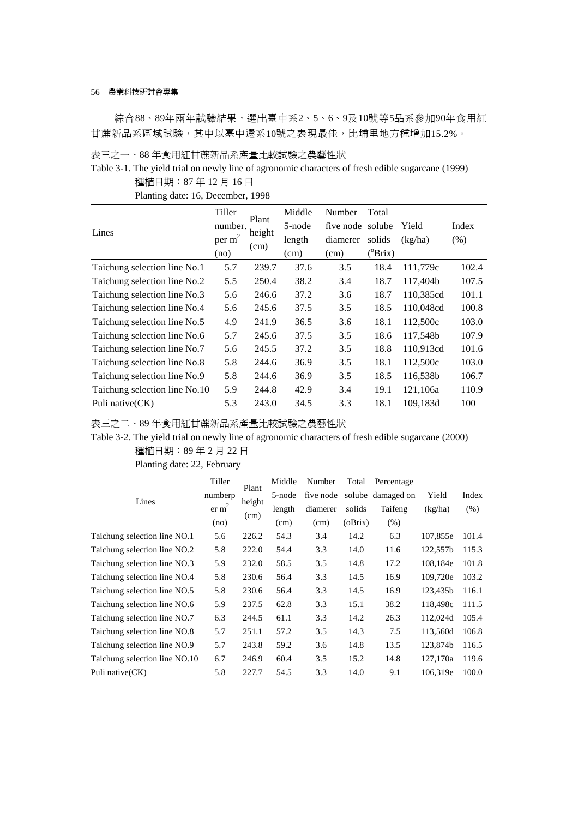綜合88、89年兩年試驗結果,選出臺中系2、5、6、9及10號等5品系參加90年食用紅 甘蔗新品系區域試驗,其中以臺中選系10號之表現最佳,比埔里地方種增加15.2%。

表三之一、88 年食用紅甘蔗新品系產量比較試驗之農藝性狀

Table 3-1. The yield trial on newly line of agronomic characters of fresh edible sugarcane (1999) 種植日期:87 年 12 月 16 日

Planting date: 16, December, 1998

|                               | Tiller             |                | Middle | Number           | Total            |           |         |
|-------------------------------|--------------------|----------------|--------|------------------|------------------|-----------|---------|
| Lines                         | number.            | Plant          | 5-node | five node solube |                  | Yield     | Index   |
|                               | per m <sup>2</sup> | height<br>(cm) | length | diamerer         | solids           | (kg/ha)   | $(\% )$ |
|                               | (no)               |                | (cm)   | (cm)             | $(^{\circ}Brix)$ |           |         |
| Taichung selection line No.1  | 5.7                | 239.7          | 37.6   | 3.5              | 18.4             | 111,779c  | 102.4   |
| Taichung selection line No.2  | 5.5                | 250.4          | 38.2   | 3.4              | 18.7             | 117,404b  | 107.5   |
| Taichung selection line No.3  | 5.6                | 246.6          | 37.2   | 3.6              | 18.7             | 110,385cd | 101.1   |
| Taichung selection line No.4  | 5.6                | 245.6          | 37.5   | 3.5              | 18.5             | 110,048cd | 100.8   |
| Taichung selection line No.5  | 4.9                | 241.9          | 36.5   | 3.6              | 18.1             | 112,500c  | 103.0   |
| Taichung selection line No.6  | 5.7                | 245.6          | 37.5   | 3.5              | 18.6             | 117,548b  | 107.9   |
| Taichung selection line No.7  | 5.6                | 245.5          | 37.2   | 3.5              | 18.8             | 110,913cd | 101.6   |
| Taichung selection line No.8  | 5.8                | 244.6          | 36.9   | 3.5              | 18.1             | 112,500c  | 103.0   |
| Taichung selection line No.9  | 5.8                | 244.6          | 36.9   | 3.5              | 18.5             | 116,538b  | 106.7   |
| Taichung selection line No.10 | 5.9                | 244.8          | 42.9   | 3.4              | 19.1             | 121,106a  | 110.9   |
| Puli native(CK)               | 5.3                | 243.0          | 34.5   | 3.3              | 18.1             | 109,183d  | 100     |

表三之二、89 年食用紅甘蔗新品系產量比較試驗之農藝性狀

Table 3-2. The yield trial on newly line of agronomic characters of fresh edible sugarcane (2000) 種植日期:89 年 2 月 22 日

| Planting date: 22, February |                                                |                         |                       |                                                               |     |
|-----------------------------|------------------------------------------------|-------------------------|-----------------------|---------------------------------------------------------------|-----|
| Lines                       | Tiller<br>numberp<br>er m <sup>2</sup><br>(no) | Plant<br>height<br>(cm) | length<br>(cm)        | Middle Number T<br>5-node five node so<br>diamerer so<br>(cm) | (0) |
| $\cdots$ $\cdots$           | $\epsilon$ $\epsilon$                          | $\cap$ $\cap$           | $\epsilon$ 4 $\gamma$ | $^{\sim}$                                                     |     |

|                               | Tiller            | Plant  | Middle | Number    | Total   | Percentage        |          |       |
|-------------------------------|-------------------|--------|--------|-----------|---------|-------------------|----------|-------|
| Lines                         | numberp           | height | 5-node | five node |         | solube damaged on | Yield    | Index |
|                               | er m <sup>2</sup> |        | length | diamerer  | solids  | Taifeng           | (kg/ha)  | (% )  |
|                               | (no)              | (cm)   | (cm)   | (cm)      | (oBrix) | $(\%)$            |          |       |
| Taichung selection line NO.1  | 5.6               | 226.2  | 54.3   | 3.4       | 14.2    | 6.3               | 107,855e | 101.4 |
| Taichung selection line NO.2  | 5.8               | 222.0  | 54.4   | 3.3       | 14.0    | 11.6              | 122,557b | 115.3 |
| Taichung selection line NO.3  | 5.9               | 232.0  | 58.5   | 3.5       | 14.8    | 17.2              | 108,184e | 101.8 |
| Taichung selection line NO.4  | 5.8               | 230.6  | 56.4   | 3.3       | 14.5    | 16.9              | 109,720e | 103.2 |
| Taichung selection line NO.5  | 5.8               | 230.6  | 56.4   | 3.3       | 14.5    | 16.9              | 123.435b | 116.1 |
| Taichung selection line NO.6  | 5.9               | 237.5  | 62.8   | 3.3       | 15.1    | 38.2              | 118,498c | 111.5 |
| Taichung selection line NO.7  | 6.3               | 244.5  | 61.1   | 3.3       | 14.2    | 26.3              | 112,024d | 105.4 |
| Taichung selection line NO.8  | 5.7               | 251.1  | 57.2   | 3.5       | 14.3    | 7.5               | 113,560d | 106.8 |
| Taichung selection line NO.9  | 5.7               | 243.8  | 59.2   | 3.6       | 14.8    | 13.5              | 123,874b | 116.5 |
| Taichung selection line NO.10 | 6.7               | 246.9  | 60.4   | 3.5       | 15.2    | 14.8              | 127.170a | 119.6 |
| Puli native (CK)              | 5.8               | 227.7  | 54.5   | 3.3       | 14.0    | 9.1               | 106,319e | 100.0 |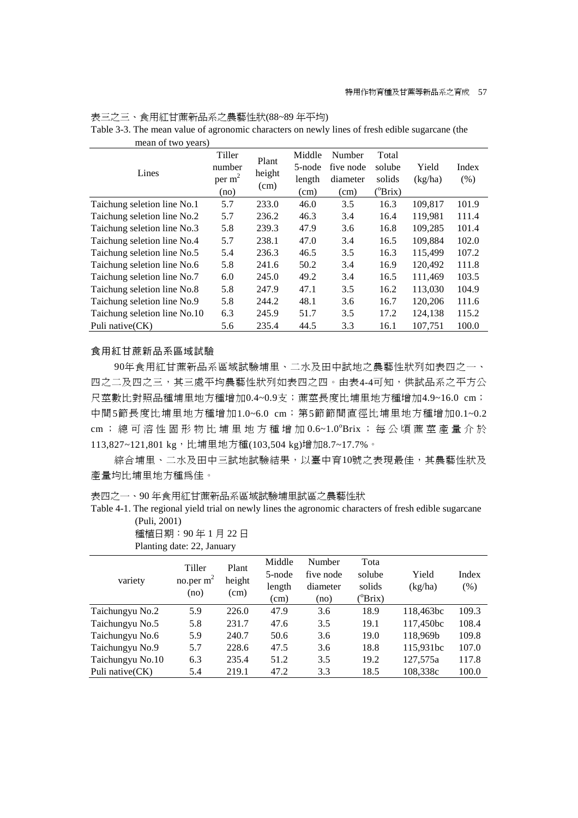| mean of two years)           |                                                |                         |                                    |                                         |                                               |                  |               |
|------------------------------|------------------------------------------------|-------------------------|------------------------------------|-----------------------------------------|-----------------------------------------------|------------------|---------------|
| Lines                        | Tiller<br>number<br>per m <sup>2</sup><br>(no) | Plant<br>height<br>(cm) | Middle<br>5-node<br>length<br>(cm) | Number<br>five node<br>diameter<br>(cm) | Total<br>solube<br>solids<br>$^{\circ}B$ rix) | Yield<br>(kg/ha) | Index<br>(% ) |
| Taichung seletion line No.1  | 5.7                                            | 233.0                   | 46.0                               | 3.5                                     | 16.3                                          | 109,817          | 101.9         |
| Taichung seletion line No.2  | 5.7                                            | 236.2                   | 46.3                               | 3.4                                     | 16.4                                          | 119,981          | 111.4         |
| Taichung seletion line No.3  | 5.8                                            | 239.3                   | 47.9                               | 3.6                                     | 16.8                                          | 109,285          | 101.4         |
| Taichung seletion line No.4  | 5.7                                            | 238.1                   | 47.0                               | 3.4                                     | 16.5                                          | 109,884          | 102.0         |
| Taichung seletion line No.5  | 5.4                                            | 236.3                   | 46.5                               | 3.5                                     | 16.3                                          | 115,499          | 107.2         |
| Taichung seletion line No.6  | 5.8                                            | 241.6                   | 50.2                               | 3.4                                     | 16.9                                          | 120,492          | 111.8         |
| Taichung seletion line No.7  | 6.0                                            | 245.0                   | 49.2                               | 3.4                                     | 16.5                                          | 111,469          | 103.5         |
| Taichung seletion line No.8  | 5.8                                            | 247.9                   | 47.1                               | 3.5                                     | 16.2                                          | 113,030          | 104.9         |
| Taichung seletion line No.9  | 5.8                                            | 244.2                   | 48.1                               | 3.6                                     | 16.7                                          | 120,206          | 111.6         |
| Taichung seletion line No.10 | 6.3                                            | 245.9                   | 51.7                               | 3.5                                     | 17.2                                          | 124,138          | 115.2         |
| Puli native(CK)              | 5.6                                            | 235.4                   | 44.5                               | 3.3                                     | 16.1                                          | 107,751          | 100.0         |

表三之三、食用紅甘蔗新品系之農藝性狀(88~89 年平均) Table 3-3. The mean value of agronomic characters on newly lines of fresh edible sugarcane (the

#### 食用紅甘蔗新品系區域試驗

90年食用紅甘蔗新品系區域試驗埔里、二水及田中試地之農藝性狀列如表四之一、 四之二及四之三,其三處平均農藝性狀列如表四之四。由表4-4可知,供試品系之平方公 尺莖數比對照品種埔里地方種增加0.4~0.9支;蔗莖長度比埔里地方種增加4.9~16.0 cm; 中間5節長度比埔里地方種增加1.0~6.0 cm; 第5節節間直徑比埔里地方種增加0.1~0.2 cm; 總 可 溶 性 固 形 物 比 埔 里 地 方 種 增 加 0.6~1.0°Brix ; 每 公 頃 蔗 莖 產 量 介 於 113,827~121,801 kg,比埔里地方種(103,504 kg)增加8.7~17.7%。

綜合埔里、二水及田中三試地試驗結果,以臺中育10號之表現最佳,其農藝性狀及 產量均比埔里地方種為佳。

表四之一、90 年食用紅甘蔗新品系區域試驗埔里試區之農藝性狀

Table 4-1. The regional yield trial on newly lines the agronomic characters of fresh edible sugarcane (Puli, 2001)

種植日期:90 年 1 月 22 日 Planting date: 22, January

|                  | Tiller      | Plant  | Middle | Number    | Tota              |           |       |
|------------------|-------------|--------|--------|-----------|-------------------|-----------|-------|
|                  | no.per $m2$ | height | 5-node | five node | solube            | Yield     | Index |
| variety          |             | (cm)   | length | diameter  | solids            | (kg/ha)   | (% )  |
|                  | (no)        |        | (cm)   | (no)      | $(^o\text{Brix})$ |           |       |
| Taichungyu No.2  | 5.9         | 226.0  | 47.9   | 3.6       | 18.9              | 118,463bc | 109.3 |
| Taichungyu No.5  | 5.8         | 231.7  | 47.6   | 3.5       | 19.1              | 117,450bc | 108.4 |
| Taichungyu No.6  | 5.9         | 240.7  | 50.6   | 3.6       | 19.0              | 118.969b  | 109.8 |
| Taichungyu No.9  | 5.7         | 228.6  | 47.5   | 3.6       | 18.8              | 115,931bc | 107.0 |
| Taichungyu No.10 | 6.3         | 235.4  | 51.2   | 3.5       | 19.2              | 127,575a  | 117.8 |
| Puli native (CK) | 5.4         | 219.1  | 47.2   | 3.3       | 18.5              | 108,338c  | 100.0 |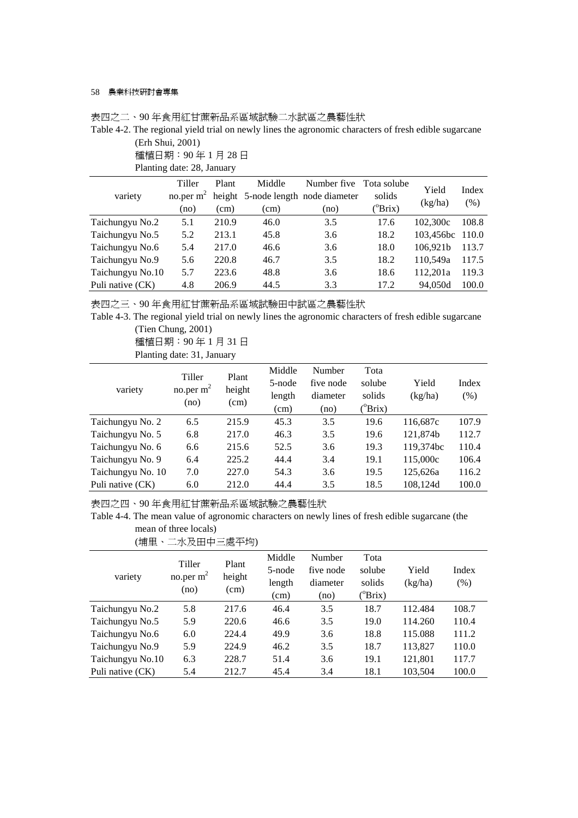|                  | 種植日期: 90年1月28日             |       |        |                                                 |                  |                 |       |
|------------------|----------------------------|-------|--------|-------------------------------------------------|------------------|-----------------|-------|
|                  | Planting date: 28, January |       |        |                                                 |                  |                 |       |
|                  | Tiller                     | Plant | Middle | Number five Tota solube                         |                  | Yield           | Index |
| variety          |                            |       |        | no.per $m^2$ height 5-node length node diameter | solids           |                 |       |
|                  | (no)                       | (cm)  | (cm)   | (no)                                            | $^{\circ}$ Brix) | (kg/ha)         | (% )  |
| Taichungyu No.2  | 5.1                        | 210.9 | 46.0   | 3.5                                             | 17.6             | 102,300c        | 108.8 |
| Taichungyu No.5  | 5.2                        | 213.1 | 45.8   | 3.6                                             | 18.2             | 103,456bc 110.0 |       |
| Taichungyu No.6  | 5.4                        | 217.0 | 46.6   | 3.6                                             | 18.0             | 106,921b        | 113.7 |
| Taichungyu No.9  | 5.6                        | 220.8 | 46.7   | 3.5                                             | 18.2             | 110,549a        | 117.5 |
| Taichungyu No.10 | 5.7                        | 223.6 | 48.8   | 3.6                                             | 18.6             | 112,201a        | 119.3 |
| Puli native (CK) | 4.8                        | 206.9 | 44.5   | 3.3                                             | 17.2             | 94,050d         | 100.0 |

表四之二、90 年食用紅甘蔗新品系區域試驗二水試區之農藝性狀

Table 4-2. The regional yield trial on newly lines the agronomic characters of fresh edible sugarcane (Erh Shui, 2001)

表四之三、90 年食用紅甘蔗新品系區域試驗田中試區之農藝性狀

Table 4-3. The regional yield trial on newly lines the agronomic characters of fresh edible sugarcane (Tien Chung, 2001)

種植日期:90 年 1 月 31 日

```
Planting date: 31, January
```

| variety           | Tiller<br>no.per $m2$<br>(no) | Plant<br>height<br>(cm) | Middle<br>5-node<br>length<br>(cm) | Number<br>five node<br>diameter<br>(no) | Tota<br>solube<br>solids<br>$(^o\text{Brix})$ | Yield<br>(kg/ha) | Index<br>$(\% )$ |
|-------------------|-------------------------------|-------------------------|------------------------------------|-----------------------------------------|-----------------------------------------------|------------------|------------------|
| Taichungyu No. 2  | 6.5                           | 215.9                   | 45.3                               | 3.5                                     | 19.6                                          | 116,687c         | 107.9            |
| Taichungyu No. 5  | 6.8                           | 217.0                   | 46.3                               | 3.5                                     | 19.6                                          | 121,874b         | 112.7            |
| Taichungyu No. 6  | 6.6                           | 215.6                   | 52.5                               | 3.6                                     | 19.3                                          | 119.374bc        | 110.4            |
| Taichungyu No. 9  | 6.4                           | 225.2                   | 44.4                               | 3.4                                     | 19.1                                          | 115,000c         | 106.4            |
| Taichungyu No. 10 | 7.0                           | 227.0                   | 54.3                               | 3.6                                     | 19.5                                          | 125,626a         | 116.2            |
| Puli native (CK)  | 6.0                           | 212.0                   | 44.4                               | 3.5                                     | 18.5                                          | 108.124d         | 100.0            |

表四之四、90 年食用紅甘蔗新品系區域試驗之農藝性狀

Table 4-4. The mean value of agronomic characters on newly lines of fresh edible sugarcane (the mean of three locals)

(埔里、二水及田中三處平均)

| variety          | Tiller<br>no.per $m2$<br>(no) | Plant<br>height<br>(cm) | Middle<br>5-node<br>length<br>(cm) | Number<br>five node<br>diameter<br>(no) | Tota<br>solube<br>solids<br>$(^o\text{Brix})$ | Yield<br>(kg/ha) | Index<br>(% ) |
|------------------|-------------------------------|-------------------------|------------------------------------|-----------------------------------------|-----------------------------------------------|------------------|---------------|
| Taichungyu No.2  | 5.8                           | 217.6                   | 46.4                               | 3.5                                     | 18.7                                          | 112.484          | 108.7         |
| Taichungyu No.5  | 5.9                           | 220.6                   | 46.6                               | 3.5                                     | 19.0                                          | 114.260          | 110.4         |
| Taichungyu No.6  | 6.0                           | 224.4                   | 49.9                               | 3.6                                     | 18.8                                          | 115.088          | 111.2         |
| Taichungyu No.9  | 5.9                           | 224.9                   | 46.2                               | 3.5                                     | 18.7                                          | 113,827          | 110.0         |
| Taichungyu No.10 | 6.3                           | 228.7                   | 51.4                               | 3.6                                     | 19.1                                          | 121,801          | 117.7         |
| Puli native (CK) | 5.4                           | 212.7                   | 45.4                               | 3.4                                     | 18.1                                          | 103,504          | 100.0         |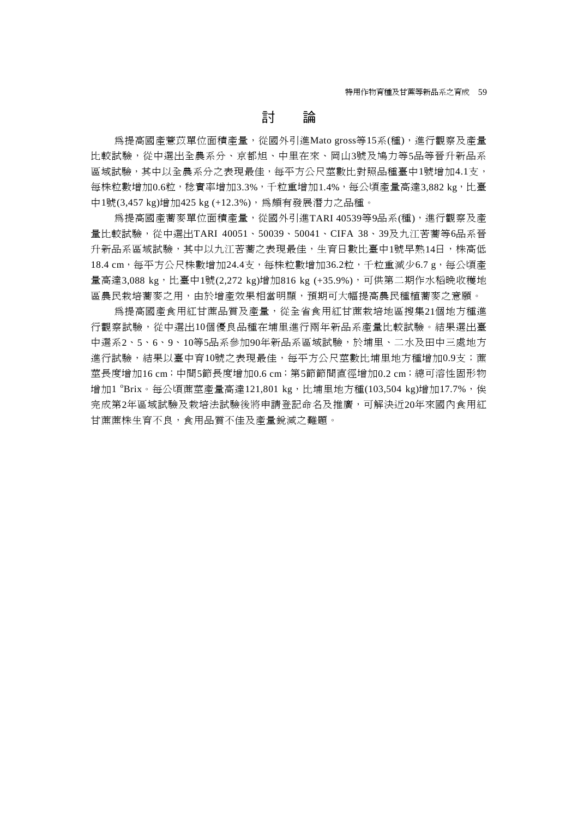# 討 論

為提高國產薏苡單位面積產量,從國外引進Mato gross等15系(種),進行觀察及產量 比較試驗,從中選出全農系分、京都旭、中里在來、岡山3號及鳩力等5品等晉升新品系 區域試驗,其中以全農系分之表現最佳,每平方公尺莖數比對照品種臺中1號增加4.1支, 每株粒數增加0.6粒,稔實率增加3.3%,千粒重增加1.4%,每公頃產量高達3,882 kg,比臺 中1號(3,457 kg)增加425 kg (+12.3%),為頗有發展潛力之品種。

為提高國產蕎麥單位面積產量,從國外引進TARI 40539等9品系(種),進行觀察及產 量比較試驗,從中選出TARI 40051、50039、50041、CIFA 38、39及九江苦蕎等6品系晉 升新品系區域試驗,其中以九江苦蕎之表現最佳,生育日數比臺中1號早熟14日,株高低 18.4 cm,每平方公尺株數增加24.4支,每株粒數增加36.2粒,千粒重減少6.7 g,每公頃產 量高達3,088 kg,比臺中1號(2,272 kg)增加816 kg (+35.9%),可供第二期作水稻晚收穫地 區農民栽培蕎麥之用,由於增產效果相當明顯,預期可大幅提高農民種植蕎麥之意願。

為提高國產食用紅甘蔗品質及產量,從全省食用紅甘蔗栽培地區搜集21個地方種進 行觀察試驗,從中選出10個優良品種在埔里進行兩年新品系產量比較試驗。結果選出臺 中選系2、5、6、9、10等5品系參加90年新品系區域試驗,於埔里、二水及田中三處地方 進行試驗,結果以臺中育10號之表現最佳,每平方公尺莖數比埔里地方種增加0.9支;薦 莖長度增加16 cm;中間5節長度增加0.6 cm;第5節節間直徑增加0.2 cm;總可溶性固形物 增加1 °Brix。每公頃蔗萃產量高達121,801 kg,比埔里地方種(103,504 kg)增加17.7%,俟 完成第2年區域試驗及栽培法試驗後將申請登記命名及推廣,可解決近20年來國內食用紅 甘蔗蔗株生育不良,食用品質不佳及產量銳減之難題。